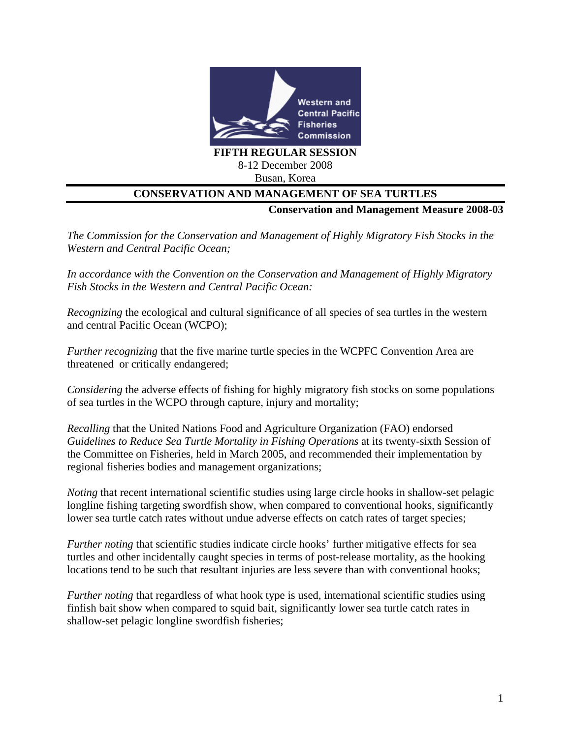

## Busan, Korea

## **CONSERVATION AND MANAGEMENT OF SEA TURTLES**

**Conservation and Management Measure 2008-03** 

*The Commission for the Conservation and Management of Highly Migratory Fish Stocks in the Western and Central Pacific Ocean;*

*In accordance with the Convention on the Conservation and Management of Highly Migratory Fish Stocks in the Western and Central Pacific Ocean:*

*Recognizing* the ecological and cultural significance of all species of sea turtles in the western and central Pacific Ocean (WCPO);

*Further recognizing* that the five marine turtle species in the WCPFC Convention Area are threatened or critically endangered;

*Considering* the adverse effects of fishing for highly migratory fish stocks on some populations of sea turtles in the WCPO through capture, injury and mortality;

*Recalling* that the United Nations Food and Agriculture Organization (FAO) endorsed *Guidelines to Reduce Sea Turtle Mortality in Fishing Operations* at its twenty-sixth Session of the Committee on Fisheries, held in March 2005, and recommended their implementation by regional fisheries bodies and management organizations;

*Noting* that recent international scientific studies using large circle hooks in shallow-set pelagic longline fishing targeting swordfish show, when compared to conventional hooks, significantly lower sea turtle catch rates without undue adverse effects on catch rates of target species;

*Further noting* that scientific studies indicate circle hooks' further mitigative effects for sea turtles and other incidentally caught species in terms of post-release mortality, as the hooking locations tend to be such that resultant injuries are less severe than with conventional hooks;

*Further noting* that regardless of what hook type is used, international scientific studies using finfish bait show when compared to squid bait, significantly lower sea turtle catch rates in shallow-set pelagic longline swordfish fisheries;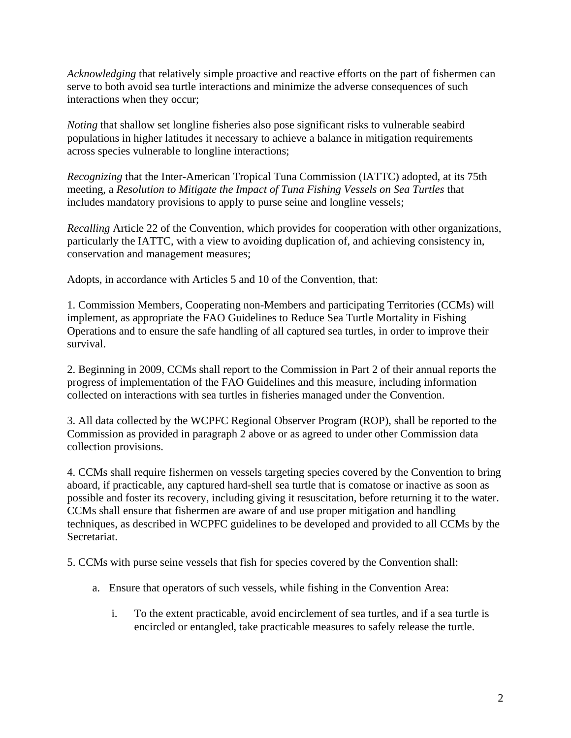*Acknowledging* that relatively simple proactive and reactive efforts on the part of fishermen can serve to both avoid sea turtle interactions and minimize the adverse consequences of such interactions when they occur;

*Noting* that shallow set longline fisheries also pose significant risks to vulnerable seabird populations in higher latitudes it necessary to achieve a balance in mitigation requirements across species vulnerable to longline interactions;

*Recognizing* that the Inter-American Tropical Tuna Commission (IATTC) adopted, at its 75th meeting, a *Resolution to Mitigate the Impact of Tuna Fishing Vessels on Sea Turtles* that includes mandatory provisions to apply to purse seine and longline vessels;

*Recalling* Article 22 of the Convention, which provides for cooperation with other organizations, particularly the IATTC, with a view to avoiding duplication of, and achieving consistency in, conservation and management measures;

Adopts, in accordance with Articles 5 and 10 of the Convention, that:

1. Commission Members, Cooperating non-Members and participating Territories (CCMs) will implement, as appropriate the FAO Guidelines to Reduce Sea Turtle Mortality in Fishing Operations and to ensure the safe handling of all captured sea turtles, in order to improve their survival.

2. Beginning in 2009, CCMs shall report to the Commission in Part 2 of their annual reports the progress of implementation of the FAO Guidelines and this measure, including information collected on interactions with sea turtles in fisheries managed under the Convention.

3. All data collected by the WCPFC Regional Observer Program (ROP), shall be reported to the Commission as provided in paragraph 2 above or as agreed to under other Commission data collection provisions.

4. CCMs shall require fishermen on vessels targeting species covered by the Convention to bring aboard, if practicable, any captured hard-shell sea turtle that is comatose or inactive as soon as possible and foster its recovery, including giving it resuscitation, before returning it to the water. CCMs shall ensure that fishermen are aware of and use proper mitigation and handling techniques, as described in WCPFC guidelines to be developed and provided to all CCMs by the Secretariat.

5. CCMs with purse seine vessels that fish for species covered by the Convention shall:

- a. Ensure that operators of such vessels, while fishing in the Convention Area:
	- i. To the extent practicable, avoid encirclement of sea turtles, and if a sea turtle is encircled or entangled, take practicable measures to safely release the turtle.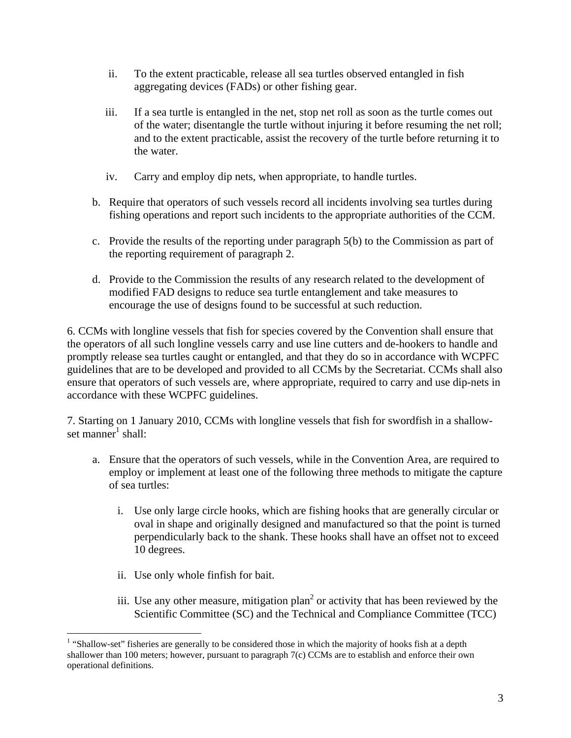- ii. To the extent practicable, release all sea turtles observed entangled in fish aggregating devices (FADs) or other fishing gear.
- iii. If a sea turtle is entangled in the net, stop net roll as soon as the turtle comes out of the water; disentangle the turtle without injuring it before resuming the net roll; and to the extent practicable, assist the recovery of the turtle before returning it to the water.
- iv. Carry and employ dip nets, when appropriate, to handle turtles.
- b. Require that operators of such vessels record all incidents involving sea turtles during fishing operations and report such incidents to the appropriate authorities of the CCM.
- c. Provide the results of the reporting under paragraph 5(b) to the Commission as part of the reporting requirement of paragraph 2.
- d. Provide to the Commission the results of any research related to the development of modified FAD designs to reduce sea turtle entanglement and take measures to encourage the use of designs found to be successful at such reduction.

6. CCMs with longline vessels that fish for species covered by the Convention shall ensure that the operators of all such longline vessels carry and use line cutters and de-hookers to handle and promptly release sea turtles caught or entangled, and that they do so in accordance with WCPFC guidelines that are to be developed and provided to all CCMs by the Secretariat. CCMs shall also ensure that operators of such vessels are, where appropriate, required to carry and use dip-nets in accordance with these WCPFC guidelines.

7. Starting on 1 January 2010, CCMs with longline vessels that fish for swordfish in a shallowset manner<sup>1</sup> shall:

- a. Ensure that the operators of such vessels, while in the Convention Area, are required to employ or implement at least one of the following three methods to mitigate the capture of sea turtles:
	- i. Use only large circle hooks, which are fishing hooks that are generally circular or oval in shape and originally designed and manufactured so that the point is turned perpendicularly back to the shank. These hooks shall have an offset not to exceed 10 degrees.
	- ii. Use only whole finfish for bait.
	- iii. Use any other measure, mitigation plan<sup>2</sup> or activity that has been reviewed by the Scientific Committee (SC) and the Technical and Compliance Committee (TCC)

 $\overline{a}$ <sup>1</sup> "Shallow-set" fisheries are generally to be considered those in which the majority of hooks fish at a depth shallower than 100 meters; however, pursuant to paragraph 7(c) CCMs are to establish and enforce their own operational definitions.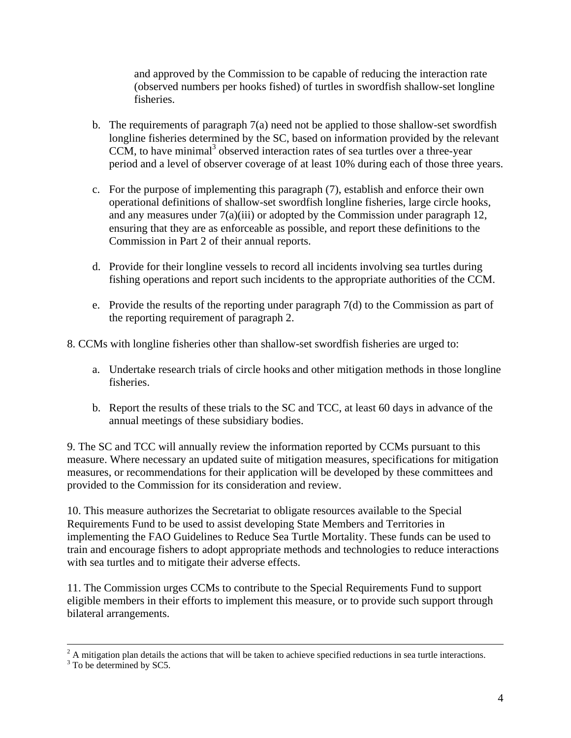and approved by the Commission to be capable of reducing the interaction rate (observed numbers per hooks fished) of turtles in swordfish shallow-set longline fisheries.

- b. The requirements of paragraph 7(a) need not be applied to those shallow-set swordfish longline fisheries determined by the SC, based on information provided by the relevant CCM, to have minimal<sup>3</sup> observed interaction rates of sea turtles over a three-year period and a level of observer coverage of at least 10% during each of those three years.
- c. For the purpose of implementing this paragraph (7), establish and enforce their own operational definitions of shallow-set swordfish longline fisheries, large circle hooks, and any measures under 7(a)(iii) or adopted by the Commission under paragraph 12, ensuring that they are as enforceable as possible, and report these definitions to the Commission in Part 2 of their annual reports.
- d. Provide for their longline vessels to record all incidents involving sea turtles during fishing operations and report such incidents to the appropriate authorities of the CCM.
- e. Provide the results of the reporting under paragraph 7(d) to the Commission as part of the reporting requirement of paragraph 2.
- 8. CCMs with longline fisheries other than shallow-set swordfish fisheries are urged to:
	- a. Undertake research trials of circle hooks and other mitigation methods in those longline fisheries.
	- b. Report the results of these trials to the SC and TCC, at least 60 days in advance of the annual meetings of these subsidiary bodies.

9. The SC and TCC will annually review the information reported by CCMs pursuant to this measure. Where necessary an updated suite of mitigation measures, specifications for mitigation measures, or recommendations for their application will be developed by these committees and provided to the Commission for its consideration and review.

10. This measure authorizes the Secretariat to obligate resources available to the Special Requirements Fund to be used to assist developing State Members and Territories in implementing the FAO Guidelines to Reduce Sea Turtle Mortality. These funds can be used to train and encourage fishers to adopt appropriate methods and technologies to reduce interactions with sea turtles and to mitigate their adverse effects.

11. The Commission urges CCMs to contribute to the Special Requirements Fund to support eligible members in their efforts to implement this measure, or to provide such support through bilateral arrangements.

 $\frac{1}{2}$  $^{2}$  A mitigation plan details the actions that will be taken to achieve specified reductions in sea turtle interactions.

<sup>&</sup>lt;sup>3</sup> To be determined by SC5.